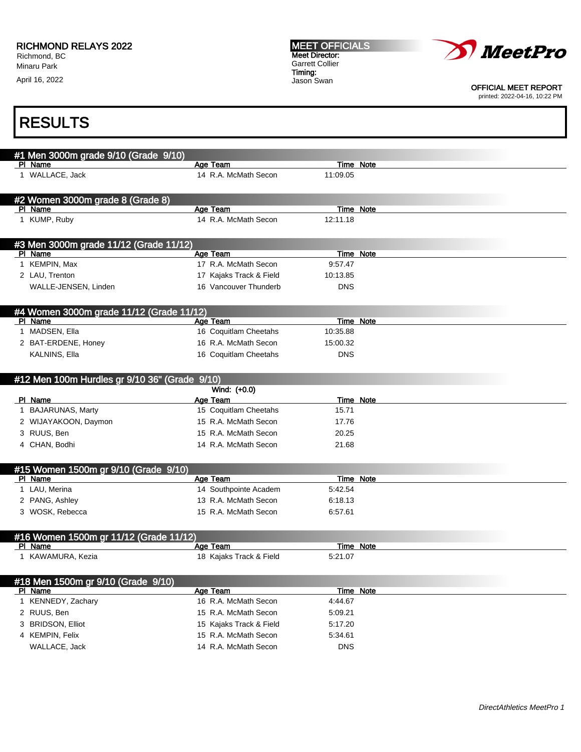April 16, 2022

MEET OFFICIALS Meet Director: Garrett Collier Timing: Jason Swan



OFFICIAL MEET REPORT printed: 2022-04-16, 10:22 PM

| #1 Men 3000m grade 9/10 (Grade 9/10)          |                         |                  |  |
|-----------------------------------------------|-------------------------|------------------|--|
| PI Name                                       | Age Team                | Time Note        |  |
| 1 WALLACE, Jack                               | 14 R.A. McMath Secon    | 11:09.05         |  |
|                                               |                         |                  |  |
| #2 Women 3000m grade 8 (Grade 8)              |                         |                  |  |
| PI Name                                       | Age Team                | Time Note        |  |
| 1 KUMP, Ruby                                  | 14 R.A. McMath Secon    | 12:11.18         |  |
|                                               |                         |                  |  |
| #3 Men 3000m grade 11/12 (Grade 11/12)        |                         |                  |  |
| PI Name                                       | Age Team                | <b>Time Note</b> |  |
| 1 KEMPIN, Max                                 | 17 R.A. McMath Secon    | 9:57.47          |  |
| 2 LAU, Trenton                                | 17 Kajaks Track & Field | 10:13.85         |  |
| WALLE-JENSEN, Linden                          | 16 Vancouver Thunderb   | <b>DNS</b>       |  |
|                                               |                         |                  |  |
| #4 Women 3000m grade 11/12 (Grade 11/12)      |                         |                  |  |
| PI Name                                       | Age Team                | Time Note        |  |
| 1 MADSEN, Ella                                | 16 Coquitlam Cheetahs   | 10:35.88         |  |
| 2 BAT-ERDENE, Honey                           | 16 R.A. McMath Secon    | 15:00.32         |  |
| KALNINS, Ella                                 | 16 Coquitlam Cheetahs   | <b>DNS</b>       |  |
|                                               |                         |                  |  |
| #12 Men 100m Hurdles gr 9/10 36" (Grade 9/10) |                         |                  |  |
|                                               | Wind: (+0.0)            |                  |  |
| PI Name                                       | Age Team                | Time Note        |  |
| 1 BAJARUNAS, Marty                            | 15 Coquitlam Cheetahs   | 15.71            |  |
| 2 WIJAYAKOON, Daymon                          | 15 R.A. McMath Secon    | 17.76            |  |
| 3 RUUS, Ben                                   | 15 R.A. McMath Secon    | 20.25            |  |
| 4 CHAN, Bodhi                                 | 14 R.A. McMath Secon    | 21.68            |  |
|                                               |                         |                  |  |
| #15 Women 1500m gr 9/10 (Grade 9/10)          |                         |                  |  |
| PI Name                                       | Age Team                | <b>Time Note</b> |  |
| 1 LAU, Merina                                 | 14 Southpointe Academ   | 5:42.54          |  |
| 2 PANG, Ashley                                | 13 R.A. McMath Secon    | 6:18.13          |  |
| 3 WOSK, Rebecca                               | 15 R.A. McMath Secon    | 6:57.61          |  |
|                                               |                         |                  |  |
| #16 Women 1500m gr 11/12 (Grade 11/12)        |                         |                  |  |
| PI Name                                       | Age Team                | <b>Time Note</b> |  |
| 1 KAWAMURA, Kezia                             | 18 Kajaks Track & Field | 5:21.07          |  |
|                                               |                         |                  |  |
| #18 Men 1500m gr 9/10 (Grade 9/10)            |                         |                  |  |
| PI Name                                       | Age Team                | Time Note        |  |
| 1 KENNEDY, Zachary                            | 16 R.A. McMath Secon    | 4:44.67          |  |
| 2 RUUS, Ben                                   | 15 R.A. McMath Secon    | 5:09.21          |  |
| 3 BRIDSON, Elliot                             | 15 Kajaks Track & Field | 5:17.20          |  |
| 4 KEMPIN, Felix                               | 15 R.A. McMath Secon    | 5:34.61          |  |
| WALLACE, Jack                                 | 14 R.A. McMath Secon    | <b>DNS</b>       |  |
|                                               |                         |                  |  |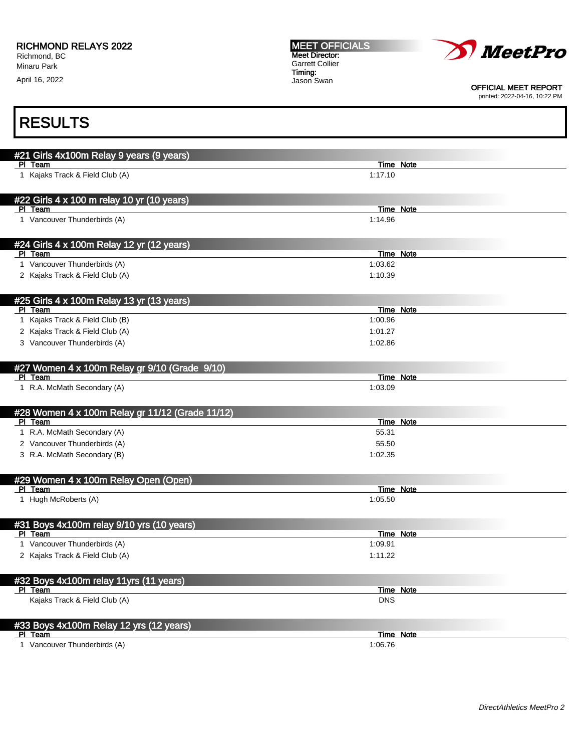#### RICHMOND RELAYS 2022

Richmond, BC Minaru Park

April 16, 2022

MEET OFFICIALS Meet Director: Garrett Collier Timing: Jason Swan



OFFICIAL MEET REPORT

printed: 2022-04-16, 10:22 PM

| #21 Girls 4x100m Relay 9 years (9 years)<br>PI Team |            | Time Note        |
|-----------------------------------------------------|------------|------------------|
| 1 Kajaks Track & Field Club (A)                     | 1:17.10    |                  |
|                                                     |            |                  |
| #22 Girls 4 x 100 m relay 10 yr (10 years)          |            |                  |
| PI Team                                             |            | Time Note        |
| 1 Vancouver Thunderbirds (A)                        | 1:14.96    |                  |
|                                                     |            |                  |
| #24 Girls 4 x 100m Relay 12 yr (12 years)           |            |                  |
| PI Team                                             |            | <b>Time Note</b> |
| 1 Vancouver Thunderbirds (A)                        | 1:03.62    |                  |
| 2 Kajaks Track & Field Club (A)                     | 1:10.39    |                  |
|                                                     |            |                  |
| #25 Girls 4 x 100m Relay 13 yr (13 years)           |            |                  |
| PI Team                                             |            | Time Note        |
| 1 Kajaks Track & Field Club (B)                     | 1:00.96    |                  |
| 2 Kajaks Track & Field Club (A)                     | 1:01.27    |                  |
| 3 Vancouver Thunderbirds (A)                        | 1:02.86    |                  |
|                                                     |            |                  |
| #27 Women 4 x 100m Relay gr 9/10 (Grade 9/10)       |            |                  |
| PI Team                                             |            | Time Note        |
| 1 R.A. McMath Secondary (A)                         | 1:03.09    |                  |
|                                                     |            |                  |
| #28 Women 4 x 100m Relay gr 11/12 (Grade 11/12)     |            |                  |
| PI Team                                             |            | <b>Time Note</b> |
| 1 R.A. McMath Secondary (A)                         | 55.31      |                  |
| 2 Vancouver Thunderbirds (A)                        | 55.50      |                  |
| 3 R.A. McMath Secondary (B)                         | 1:02.35    |                  |
|                                                     |            |                  |
| #29 Women 4 x 100m Relay Open (Open)                |            |                  |
| PI Team                                             |            | Time Note        |
| 1 Hugh McRoberts (A)                                | 1:05.50    |                  |
|                                                     |            |                  |
| #31 Boys 4x100m relay 9/10 yrs (10 years)           |            |                  |
| PI Team                                             |            | Time Note        |
| 1 Vancouver Thunderbirds (A)                        | 1:09.91    |                  |
| 2 Kajaks Track & Field Club (A)                     | 1:11.22    |                  |
|                                                     |            |                  |
| #32 Boys 4x100m relay 11yrs (11 years)              |            |                  |
| PI Team                                             |            | <b>Time Note</b> |
| Kajaks Track & Field Club (A)                       | <b>DNS</b> |                  |
|                                                     |            |                  |
| #33 Boys 4x100m Relay 12 yrs (12 years)             |            |                  |
| PI Team                                             |            | Time Note        |
| 1 Vancouver Thunderbirds (A)                        | 1:06.76    |                  |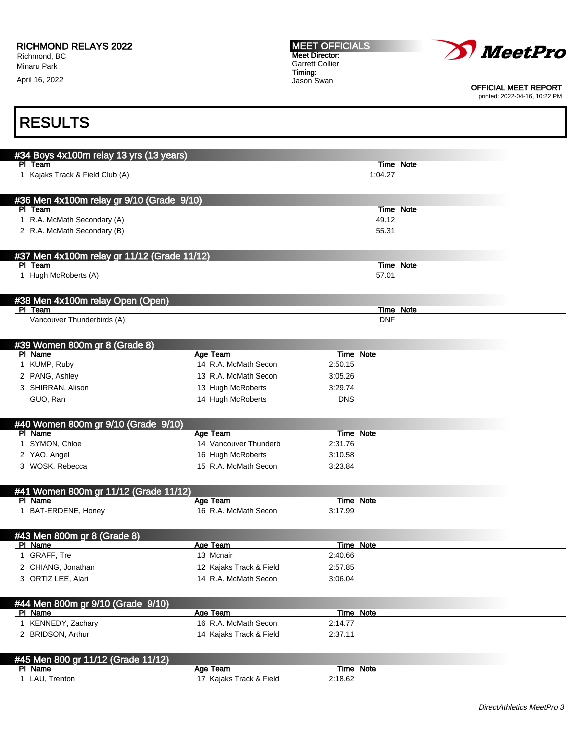| <b>RICHMOND RELAYS 2022</b> |  |
|-----------------------------|--|
|-----------------------------|--|

April 16, 2022



OFFICIAL MEET REPORT

printed: 2022-04-16, 10:22 PM

| #34 Boys 4x100m relay 13 yrs (13 years)              |                                     |                  |           |
|------------------------------------------------------|-------------------------------------|------------------|-----------|
| PI Team                                              |                                     |                  | Time Note |
| 1 Kajaks Track & Field Club (A)                      |                                     | 1:04.27          |           |
|                                                      |                                     |                  |           |
|                                                      |                                     |                  |           |
| #36 Men 4x100m relay gr 9/10 (Grade 9/10)<br>PI Team |                                     |                  | Time Note |
| 1 R.A. McMath Secondary (A)                          |                                     | 49.12            |           |
| 2 R.A. McMath Secondary (B)                          |                                     | 55.31            |           |
|                                                      |                                     |                  |           |
|                                                      |                                     |                  |           |
| #37 Men 4x100m relay gr 11/12 (Grade 11/12)          |                                     |                  |           |
| PI Team                                              |                                     |                  | Time Note |
| 1 Hugh McRoberts (A)                                 |                                     | 57.01            |           |
|                                                      |                                     |                  |           |
| #38 Men 4x100m relay Open (Open)                     |                                     |                  |           |
| PI Team                                              |                                     |                  | Time Note |
| Vancouver Thunderbirds (A)                           |                                     | <b>DNF</b>       |           |
|                                                      |                                     |                  |           |
| #39 Women 800m gr 8 (Grade 8)                        |                                     |                  |           |
| PI Name                                              | Age Team                            | <b>Time Note</b> |           |
| 1 KUMP, Ruby                                         | 14 R.A. McMath Secon                | 2:50.15          |           |
| 2 PANG, Ashley                                       | 13 R.A. McMath Secon                | 3:05.26          |           |
| 3 SHIRRAN, Alison                                    | 13 Hugh McRoberts                   | 3:29.74          |           |
| GUO, Ran                                             | 14 Hugh McRoberts                   | <b>DNS</b>       |           |
|                                                      |                                     |                  |           |
| #40 Women 800m gr 9/10 (Grade 9/10)                  |                                     |                  |           |
| PI Name                                              | Age Team                            | <b>Time Note</b> |           |
| 1 SYMON, Chloe                                       | 14 Vancouver Thunderb               | 2:31.76          |           |
| 2 YAO, Angel                                         | 16 Hugh McRoberts                   | 3:10.58          |           |
| 3 WOSK, Rebecca                                      | 15 R.A. McMath Secon                | 3:23.84          |           |
|                                                      |                                     |                  |           |
| #41 Women 800m gr 11/12 (Grade 11/12)                |                                     |                  |           |
| PI Name                                              | Age Team                            | <b>Time Note</b> |           |
| 1 BAT-ERDENE, Honey                                  | 16 R.A. McMath Secon                | 3:17.99          |           |
|                                                      |                                     |                  |           |
|                                                      |                                     |                  |           |
| #43 Men 800m gr 8 (Grade 8)<br>PI Name               | Age Team                            | <b>Time Note</b> |           |
| 1 GRAFF, Tre                                         | 13 Mcnair                           | 2:40.66          |           |
| 2 CHIANG, Jonathan                                   | 12 Kajaks Track & Field             | 2:57.85          |           |
| 3 ORTIZ LEE, Alari                                   | 14 R.A. McMath Secon                | 3:06.04          |           |
|                                                      |                                     |                  |           |
|                                                      |                                     |                  |           |
| #44 Men 800m gr 9/10 (Grade 9/10)                    |                                     |                  |           |
| PI Name                                              | <b>Age Team</b>                     | Time Note        |           |
| 1 KENNEDY, Zachary                                   | 16 R.A. McMath Secon                | 2:14.77          |           |
| 2 BRIDSON, Arthur                                    | 14 Kajaks Track & Field             | 2:37.11          |           |
|                                                      |                                     |                  |           |
| #45 Men 800 gr 11/12 (Grade 11/12)                   |                                     |                  |           |
| PI Name                                              |                                     | Time Note        |           |
| 1 LAU, Trenton                                       | Age Team<br>17 Kajaks Track & Field |                  |           |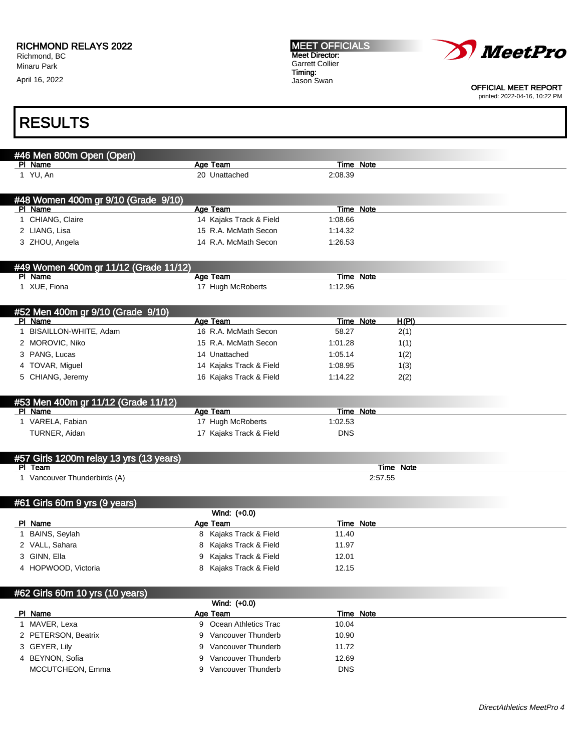April 16, 2022

MEET OFFICIALS Meet Director: Garrett Collier Timing: Jason Swan



OFFICIAL MEET REPORT printed: 2022-04-16, 10:22 PM

| #46 Men 800m Open (Open)                |                           |                  |                  |  |
|-----------------------------------------|---------------------------|------------------|------------------|--|
| PI Name                                 | Age Team                  | Time Note        |                  |  |
| 1 YU, An                                | 20 Unattached             | 2:08.39          |                  |  |
|                                         |                           |                  |                  |  |
| #48 Women 400m gr 9/10 (Grade 9/10)     |                           |                  |                  |  |
| PI Name                                 | Age Team                  | Time Note        |                  |  |
| 1 CHIANG, Claire                        | 14 Kajaks Track & Field   | 1:08.66          |                  |  |
| 2 LIANG, Lisa                           | 15 R.A. McMath Secon      | 1:14.32          |                  |  |
| 3 ZHOU, Angela                          | 14 R.A. McMath Secon      | 1:26.53          |                  |  |
|                                         |                           |                  |                  |  |
| #49 Women 400m gr 11/12 (Grade 11/12)   |                           |                  |                  |  |
| PI Name                                 | <b>Age Team</b>           | <b>Time Note</b> |                  |  |
| 1 XUE, Fiona                            | 17 Hugh McRoberts         | 1:12.96          |                  |  |
|                                         |                           |                  |                  |  |
| #52 Men 400m gr 9/10 (Grade 9/10)       |                           |                  |                  |  |
| PI Name                                 | Age Team                  | Time Note        | H(PI)            |  |
| 1 BISAILLON-WHITE, Adam                 | 16 R.A. McMath Secon      | 58.27            | 2(1)             |  |
| 2 MOROVIC, Niko                         | 15 R.A. McMath Secon      | 1:01.28          | 1(1)             |  |
| 3 PANG, Lucas                           | 14 Unattached             | 1:05.14          | 1(2)             |  |
| 4 TOVAR, Miguel                         | 14 Kajaks Track & Field   | 1:08.95          | 1(3)             |  |
|                                         |                           |                  |                  |  |
| 5 CHIANG, Jeremy                        | 16 Kajaks Track & Field   | 1:14.22          | 2(2)             |  |
|                                         |                           |                  |                  |  |
| #53 Men 400m gr 11/12 (Grade 11/12)     |                           |                  |                  |  |
| PI Name                                 | <b>Age Team</b>           | Time Note        |                  |  |
| 1 VARELA, Fabian                        | 17 Hugh McRoberts         | 1:02.53          |                  |  |
| TURNER, Aidan                           | 17 Kajaks Track & Field   | <b>DNS</b>       |                  |  |
|                                         |                           |                  |                  |  |
| #57 Girls 1200m relay 13 yrs (13 years) |                           |                  |                  |  |
| PI Team                                 |                           |                  | <b>Time Note</b> |  |
| 1 Vancouver Thunderbirds (A)            |                           |                  | 2:57.55          |  |
|                                         |                           |                  |                  |  |
| #61 Girls 60m 9 yrs (9 years)           |                           |                  |                  |  |
|                                         | Wind: (+0.0)              |                  |                  |  |
| PI Name                                 | Age Team                  | <b>Time Note</b> |                  |  |
| 1 BAINS, Seylah                         | Kajaks Track & Field<br>8 | 11.40            |                  |  |
| 2 VALL, Sahara                          | Kajaks Track & Field<br>8 | 11.97            |                  |  |
| 3 GINN, Ella                            | Kajaks Track & Field<br>9 | 12.01            |                  |  |
| 4 HOPWOOD, Victoria                     | Kajaks Track & Field<br>8 | 12.15            |                  |  |
|                                         |                           |                  |                  |  |
| #62 Girls 60m 10 yrs (10 years)         |                           |                  |                  |  |
|                                         | Wind: (+0.0)              |                  |                  |  |
| PI Name                                 | Age Team                  | <b>Time Note</b> |                  |  |
| 1 MAVER, Lexa                           | 9 Ocean Athletics Trac    | 10.04            |                  |  |
| 2 PETERSON, Beatrix                     | 9 Vancouver Thunderb      | 10.90            |                  |  |
| 3 GEYER, Lily                           | Vancouver Thunderb<br>9   | 11.72            |                  |  |
| 4 BEYNON, Sofia                         | Vancouver Thunderb<br>9   | 12.69            |                  |  |
| MCCUTCHEON, Emma                        | 9 Vancouver Thunderb      | <b>DNS</b>       |                  |  |
|                                         |                           |                  |                  |  |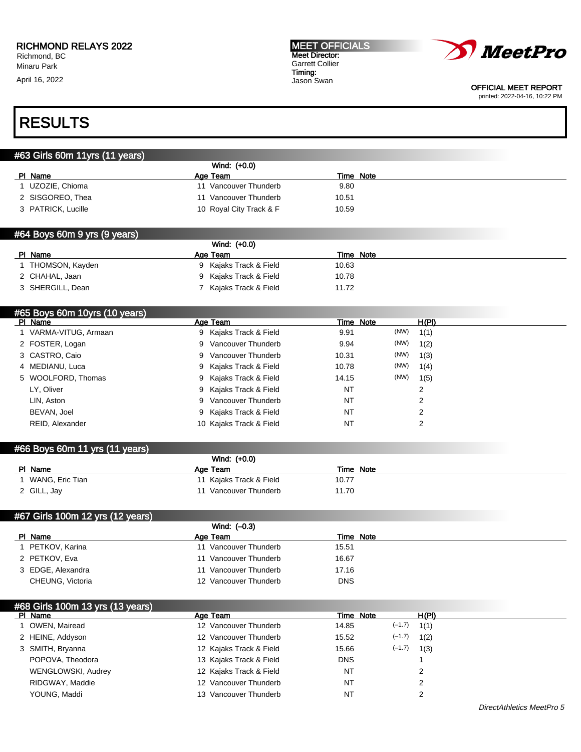April 16, 2022





OFFICIAL MEET REPORT printed: 2022-04-16, 10:22 PM

### RESULTS

#### #63 Girls 60m 11yrs (11 years)

|                    | Wind: (+0.0)             |           |  |
|--------------------|--------------------------|-----------|--|
| PI Name            | Age Team                 | Time Note |  |
| UZOZIE, Chioma     | 11 Vancouver Thunderb    | 9.80      |  |
| 2 SISGOREO, Thea   | Vancouver Thunderb<br>11 | 10.51     |  |
| 3 PATRICK, Lucille | 10 Royal City Track & F  | 10.59     |  |
|                    |                          |           |  |

#### #64 Boys 60m 9 yrs (9 years)

|                  | Wind: (+0.0)         |           |  |
|------------------|----------------------|-----------|--|
| PI Name          | Age Team             | Time Note |  |
| THOMSON, Kayden  | Kajaks Track & Field | 10.63     |  |
| 2 CHAHAL, Jaan   | Kajaks Track & Field | 10.78     |  |
| 3 SHERGILL, Dean | Kajaks Track & Field | 11.72     |  |

| #65 Boys 60m 10yrs (10 years) |                         |       |           |      |       |
|-------------------------------|-------------------------|-------|-----------|------|-------|
| PI Name                       | Age Team                |       | Time Note |      | H(PI) |
| 1 VARMA-VITUG, Armaan         | 9 Kajaks Track & Field  | 9.91  |           | (NW) | 1(1)  |
| 2 FOSTER, Logan               | 9 Vancouver Thunderb    | 9.94  |           | (NW) | 1(2)  |
| 3 CASTRO, Caio                | 9 Vancouver Thunderb    | 10.31 |           | (NW) | 1(3)  |
| 4 MEDIANU, Luca               | 9 Kajaks Track & Field  | 10.78 |           | (NW) | 1(4)  |
| 5 WOOLFORD, Thomas            | 9 Kajaks Track & Field  | 14.15 |           | (NW) | 1(5)  |
| LY, Oliver                    | 9 Kajaks Track & Field  | NT    |           |      | 2     |
| LIN, Aston                    | 9 Vancouver Thunderb    | NT    |           |      | 2     |
| BEVAN, Joel                   | 9 Kajaks Track & Field  | NT    |           |      | 2     |
| REID, Alexander               | 10 Kajaks Track & Field | NT    |           |      | 2     |
|                               |                         |       |           |      |       |

#### #66 Boys 60m 11 yrs (11 years)

|                 | Wind: (+0.0)            |           |  |
|-----------------|-------------------------|-----------|--|
| PI Name         | Age Team                | Time Note |  |
| WANG, Eric Tian | 11 Kajaks Track & Field | 10.77     |  |
| 2 GILL, Jay     | Vancouver Thunderb      | 11.70     |  |

#### #67 Girls 100m 12 yrs (12 years)

|                   | Wind: $(-0.3)$           |            |
|-------------------|--------------------------|------------|
| PI Name           | Age Team                 | Time Note  |
| PETKOV, Karina    | Vancouver Thunderb<br>11 | 15.51      |
| 2 PETKOV, Eva     | Vancouver Thunderb<br>11 | 16.67      |
| 3 EDGE, Alexandra | Vancouver Thunderb       | 17.16      |
| CHEUNG, Victoria  | 12 Vancouver Thunderb    | <b>DNS</b> |

### #68 Girls 100m 13 yrs (13 years)

| PI Name            | Age Team                | Time Note         | H(PI) |
|--------------------|-------------------------|-------------------|-------|
| OWEN, Mairead      | 12 Vancouver Thunderb   | $(-1.7)$<br>14.85 | 1(1)  |
| 2 HEINE, Addyson   | 12 Vancouver Thunderb   | $(-1.7)$<br>15.52 | 1(2)  |
| 3 SMITH, Bryanna   | 12 Kajaks Track & Field | $(-1.7)$<br>15.66 | 1(3)  |
| POPOVA, Theodora   | 13 Kajaks Track & Field | <b>DNS</b>        |       |
| WENGLOWSKI, Audrey | 12 Kajaks Track & Field | NT                |       |
| RIDGWAY, Maddie    | 12 Vancouver Thunderb   | NT                |       |
| YOUNG, Maddi       | 13 Vancouver Thunderb   | NT                |       |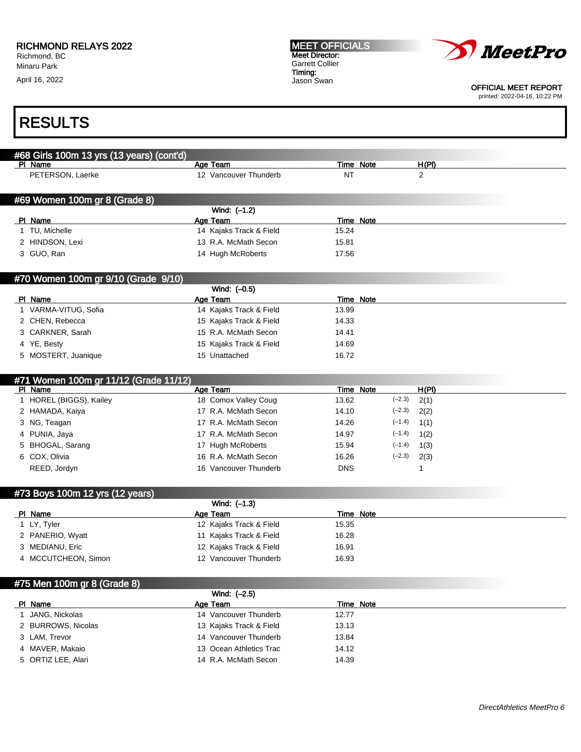April 16, 2022





OFFICIAL MEET REPORT

printed: 2022-04-16, 10:22 PM

# RESULTS

| #68 Girls 100m 13 yrs (13 years) (cont'd) |                         |                  |                  |
|-------------------------------------------|-------------------------|------------------|------------------|
| PI Name                                   | Age Team                | Time Note        | H(PI)            |
| PETERSON, Laerke                          | 12 Vancouver Thunderb   | <b>NT</b>        | $\overline{2}$   |
|                                           |                         |                  |                  |
| #69 Women 100m gr 8 (Grade 8)             |                         |                  |                  |
|                                           | Wind: (-1.2)            |                  |                  |
| PI Name                                   | Age Team                | <b>Time Note</b> |                  |
| 1 TU, Michelle                            | 14 Kajaks Track & Field | 15.24            |                  |
| 2 HINDSON, Lexi                           | 13 R.A. McMath Secon    | 15.81            |                  |
| 3 GUO, Ran                                | 14 Hugh McRoberts       | 17.56            |                  |
|                                           |                         |                  |                  |
| #70 Women 100m gr 9/10 (Grade 9/10)       |                         |                  |                  |
|                                           | Wind: (-0.5)            |                  |                  |
| PI Name                                   | Age Team                | <b>Time Note</b> |                  |
| 1 VARMA-VITUG, Sofia                      | 14 Kajaks Track & Field | 13.99            |                  |
| 2 CHEN, Rebecca                           | 15 Kajaks Track & Field | 14.33            |                  |
| 3 CARKNER, Sarah                          | 15 R.A. McMath Secon    | 14.41            |                  |
| 4 YE, Besty                               | 15 Kajaks Track & Field | 14.69            |                  |
| 5 MOSTERT, Juanique                       | 15 Unattached           | 16.72            |                  |
|                                           |                         |                  |                  |
| #71 Women 100m gr 11/12 (Grade 11/12)     |                         |                  |                  |
| PI Name                                   | <b>Age Team</b>         | Time Note        | H(PI)            |
| 1 HOREL (BIGGS), Kailey                   | 18 Comox Valley Coug    | 13.62            | $(-2.3)$<br>2(1) |
| 2 HAMADA, Kaiya                           | 17 R.A. McMath Secon    | 14.10            | $(-2.3)$<br>2(2) |
| 3 NG, Teagan                              | 17 R.A. McMath Secon    | 14.26            | $(-1.4)$<br>1(1) |
| 4 PUNIA, Jaya                             | 17 R.A. McMath Secon    | 14.97            | $(-1.4)$<br>1(2) |
| 5 BHOGAL, Sarang                          | 17 Hugh McRoberts       | 15.94            | $(-1.4)$<br>1(3) |
| 6 COX, Olivia                             | 16 R.A. McMath Secon    | 16.26            | $(-2.3)$<br>2(3) |
| REED, Jordyn                              | 16 Vancouver Thunderb   | <b>DNS</b>       | $\mathbf{1}$     |
|                                           |                         |                  |                  |
| #73 Boys 100m 12 yrs (12 years)           |                         |                  |                  |
|                                           | Wind: $(-1.3)$          |                  |                  |
| PI Name                                   | Age Team                | Time Note        |                  |
| 1 LY, Tyler                               | 12 Kajaks Track & Field | 15.35            |                  |
| 2 PANERIO, Wyatt                          | 11 Kajaks Track & Field | 16.28            |                  |
| 3 MEDIANU, Eric                           | 12 Kajaks Track & Field | 16.91            |                  |
| 4 MCCUTCHEON, Simon                       | 12 Vancouver Thunderb   | 16.93            |                  |
|                                           |                         |                  |                  |

#### #75 Men 100m gr 8 (Grade 8)

| $\cdots$ $\cdots$ $\cdots$ $\cdots$ $\cdots$ $\cdots$ $\cdots$ $\cdots$ | Wind: (-2.5)            |           |
|-------------------------------------------------------------------------|-------------------------|-----------|
| PI Name                                                                 | Age Team                | Time Note |
| JANG, Nickolas                                                          | 14 Vancouver Thunderb   | 12.77     |
| 2 BURROWS, Nicolas                                                      | 13 Kajaks Track & Field | 13.13     |
| 3 LAM, Trevor                                                           | 14 Vancouver Thunderb   | 13.84     |
| 4 MAVER, Makaio                                                         | 13 Ocean Athletics Trac | 14.12     |
| 5 ORTIZ LEE, Alari                                                      | 14 R.A. McMath Secon    | 14.39     |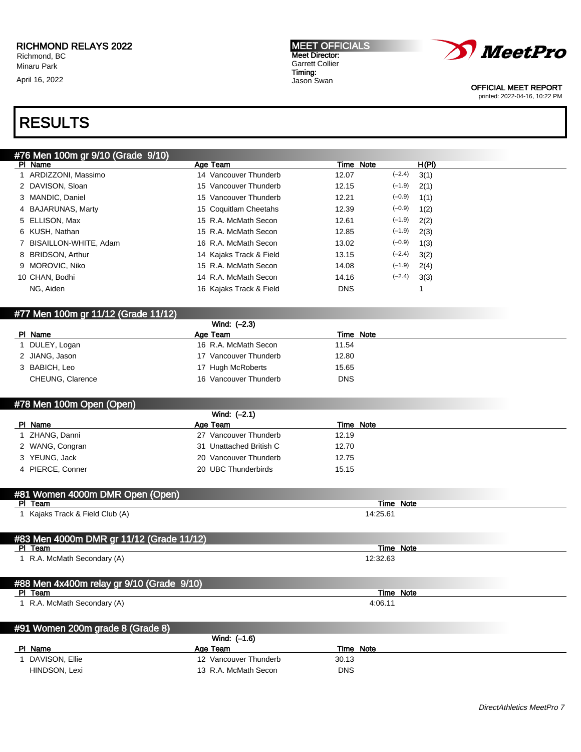April 16, 2022





OFFICIAL MEET REPORT printed: 2022-04-16, 10:22 PM

## RESULTS

| #76 Men 100m gr 9/10 (Grade 9/10) |                         |            |           |       |
|-----------------------------------|-------------------------|------------|-----------|-------|
| PI Name                           | Age Team                |            | Time Note | H(PI) |
| 1 ARDIZZONI, Massimo              | 14 Vancouver Thunderb   | 12.07      | $(-2.4)$  | 3(1)  |
| 2 DAVISON, Sloan                  | 15 Vancouver Thunderb   | 12.15      | $(-1.9)$  | 2(1)  |
| 3 MANDIC, Daniel                  | 15 Vancouver Thunderb   | 12.21      | $(-0.9)$  | 1(1)  |
| 4 BAJARUNAS, Marty                | 15 Coquitlam Cheetahs   | 12.39      | $(-0.9)$  | 1(2)  |
| 5 ELLISON, Max                    | 15 R.A. McMath Secon    | 12.61      | $(-1.9)$  | 2(2)  |
| 6 KUSH, Nathan                    | 15 R.A. McMath Secon    | 12.85      | $(-1.9)$  | 2(3)  |
| 7 BISAILLON-WHITE, Adam           | 16 R.A. McMath Secon    | 13.02      | $(-0.9)$  | 1(3)  |
| 8 BRIDSON, Arthur                 | 14 Kajaks Track & Field | 13.15      | $(-2.4)$  | 3(2)  |
| 9 MOROVIC, Niko                   | 15 R.A. McMath Secon    | 14.08      | $(-1.9)$  | 2(4)  |
| 10 CHAN, Bodhi                    | 14 R.A. McMath Secon    | 14.16      | $(-2.4)$  | 3(3)  |
| NG, Aiden                         | 16 Kajaks Track & Field | <b>DNS</b> |           |       |
|                                   |                         |            |           |       |

#### #77 Men 100m gr 11/12 (Grade 11/12)

|                  | Wind: (-2.3)          |            |
|------------------|-----------------------|------------|
| PI Name          | Age Team              | Time Note  |
| DULEY, Logan     | 16 R.A. McMath Secon  | 11.54      |
| 2 JIANG, Jason   | 17 Vancouver Thunderb | 12.80      |
| 3 BABICH, Leo    | 17 Hugh McRoberts     | 15.65      |
| CHEUNG, Clarence | 16 Vancouver Thunderb | <b>DNS</b> |

#### #78 Men 100m Open (Open)

|                  | Wind: $(-2.1)$          |           |  |
|------------------|-------------------------|-----------|--|
| PI Name          | Age Team                | Time Note |  |
| . ZHANG, Danni   | 27 Vancouver Thunderb   | 12.19     |  |
| 2 WANG, Congran  | 31 Unattached British C | 12.70     |  |
| 3 YEUNG, Jack    | 20 Vancouver Thunderb   | 12.75     |  |
| 4 PIERCE, Conner | 20 UBC Thunderbirds     | 15.15     |  |

#### #81 Women 4000m DMR Open (Open)

| PI Team                                   | Time Note |  |
|-------------------------------------------|-----------|--|
| I Kajaks Track & Field Club (A)           | 14:25.61  |  |
|                                           |           |  |
|                                           |           |  |
| #83 Men 4000m DMR gr 11/12 (Grade 11/12)  |           |  |
| PI Team                                   | Time Note |  |
| 1 R.A. McMath Secondary (A)               | 12:32.63  |  |
|                                           |           |  |
|                                           |           |  |
| #88 Men 4x400m relay gr 9/10 (Grade 9/10) |           |  |
| PI Team                                   | Time Note |  |

1 R.A. McMath Secondary (A) 4:06.11

|    | #91 Women 200m grade 8 (Grade 8) |                       |            |
|----|----------------------------------|-----------------------|------------|
|    |                                  | Wind: (-1.6)          |            |
| PL | Name                             | Age Team              | Time Note  |
|    | DAVISON, Ellie                   | 12 Vancouver Thunderb | 30.13      |
|    | HINDSON, Lexi                    | 13 R.A. McMath Secon  | <b>DNS</b> |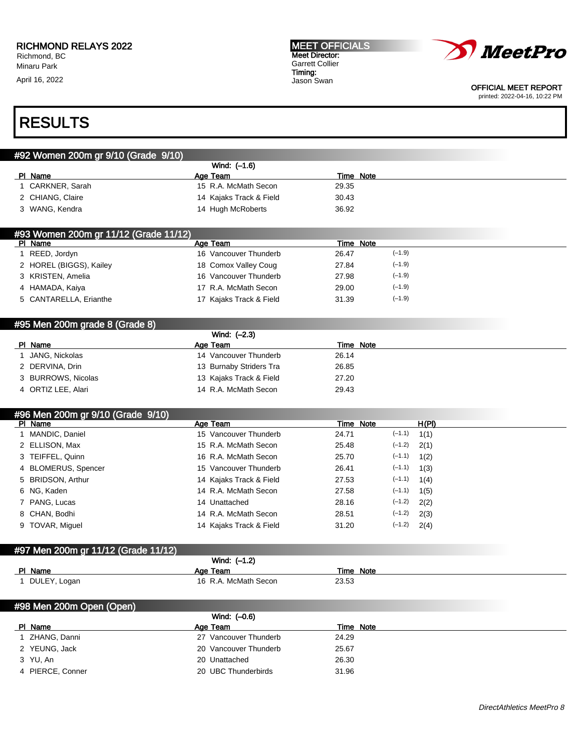April 16, 2022





OFFICIAL MEET REPORT printed: 2022-04-16, 10:22 PM

| #92 Women 200m gr 9/10 (Grade 9/10)                                                                                                                                                                                                                            |                                                 |                    |                                      |
|----------------------------------------------------------------------------------------------------------------------------------------------------------------------------------------------------------------------------------------------------------------|-------------------------------------------------|--------------------|--------------------------------------|
|                                                                                                                                                                                                                                                                | Wind: (-1.6)                                    |                    |                                      |
| PI Name                                                                                                                                                                                                                                                        | Age Team                                        | <b>Time Note</b>   |                                      |
| 1 CARKNER, Sarah                                                                                                                                                                                                                                               | 15 R.A. McMath Secon                            | 29.35              |                                      |
| 2 CHIANG, Claire                                                                                                                                                                                                                                               | 14 Kajaks Track & Field                         | 30.43              |                                      |
| 3 WANG, Kendra                                                                                                                                                                                                                                                 | 14 Hugh McRoberts                               | 36.92              |                                      |
| #93 Women 200m gr 11/12 (Grade 11/12)                                                                                                                                                                                                                          |                                                 |                    |                                      |
| PI Name                                                                                                                                                                                                                                                        | Age Team                                        | Time Note          |                                      |
| 1 REED, Jordyn                                                                                                                                                                                                                                                 | 16 Vancouver Thunderb                           | 26.47              | $(-1.9)$                             |
| 2 HOREL (BIGGS), Kailey                                                                                                                                                                                                                                        | 18 Comox Valley Coug                            | 27.84              | $(-1.9)$                             |
| 3 KRISTEN, Amelia                                                                                                                                                                                                                                              | 16 Vancouver Thunderb                           | 27.98              | $(-1.9)$                             |
| 4 HAMADA, Kaiya                                                                                                                                                                                                                                                | 17 R.A. McMath Secon                            | 29.00              | $(-1.9)$                             |
| 5 CANTARELLA, Erianthe                                                                                                                                                                                                                                         | 17 Kajaks Track & Field                         | 31.39              | $(-1.9)$                             |
| #95 Men 200m grade 8 (Grade 8)                                                                                                                                                                                                                                 |                                                 |                    |                                      |
|                                                                                                                                                                                                                                                                | Wind: (-2.3)                                    |                    |                                      |
| PI Name                                                                                                                                                                                                                                                        | Age Team                                        | <b>Time Note</b>   |                                      |
| JANG, Nickolas<br>$\mathbf{1}$                                                                                                                                                                                                                                 | 14 Vancouver Thunderb                           | 26.14              |                                      |
| 2 DERVINA, Drin                                                                                                                                                                                                                                                | 13 Burnaby Striders Tra                         | 26.85              |                                      |
| 3 BURROWS, Nicolas                                                                                                                                                                                                                                             | 13 Kajaks Track & Field                         | 27.20              |                                      |
| 4 ORTIZ LEE, Alari                                                                                                                                                                                                                                             | 14 R.A. McMath Secon                            | 29.43              |                                      |
|                                                                                                                                                                                                                                                                |                                                 |                    |                                      |
|                                                                                                                                                                                                                                                                |                                                 |                    |                                      |
|                                                                                                                                                                                                                                                                | Age Team                                        | <b>Time Note</b>   | H(PI)                                |
|                                                                                                                                                                                                                                                                | 15 Vancouver Thunderb                           | 24.71              | $(-1.1)$<br>1(1)                     |
|                                                                                                                                                                                                                                                                | 15 R.A. McMath Secon                            | 25.48              | $(-1.2)$<br>2(1)                     |
|                                                                                                                                                                                                                                                                | 16 R.A. McMath Secon                            | 25.70              | $(-1.1)$<br>1(2)                     |
|                                                                                                                                                                                                                                                                | 15 Vancouver Thunderb                           | 26.41              | $(-1.1)$<br>1(3)                     |
| <b>BRIDSON, Arthur</b>                                                                                                                                                                                                                                         | 14 Kajaks Track & Field                         | 27.53              | $(-1.1)$<br>1(4)                     |
|                                                                                                                                                                                                                                                                | 14 R.A. McMath Secon                            | 27.58              | $(-1.1)$<br>1(5)                     |
|                                                                                                                                                                                                                                                                | 14 Unattached                                   | 28.16              | $(-1.2)$<br>2(2)                     |
|                                                                                                                                                                                                                                                                |                                                 |                    |                                      |
| CHAN, Bodhi                                                                                                                                                                                                                                                    | 14 R.A. McMath Secon<br>14 Kajaks Track & Field | 28.51<br>31.20     | $(-1.2)$<br>2(3)<br>$(-1.2)$<br>2(4) |
|                                                                                                                                                                                                                                                                |                                                 |                    |                                      |
|                                                                                                                                                                                                                                                                | Wind: (-1.2)                                    |                    |                                      |
|                                                                                                                                                                                                                                                                |                                                 |                    |                                      |
| #96 Men 200m gr 9/10 (Grade 9/10)<br>PI Name<br>1 MANDIC, Daniel<br>2 ELLISON, Max<br>3 TEIFFEL, Quinn<br>4 BLOMERUS, Spencer<br>5<br>6 NG, Kaden<br>7 PANG, Lucas<br>8<br>9 TOVAR, Miguel<br>#97 Men 200m gr 11/12 (Grade 11/12)<br>PI Name<br>1 DULEY, Logan | Age Team<br>16 R.A. McMath Secon                | Time Note<br>23.53 |                                      |
| #98 Men 200m Open (Open)                                                                                                                                                                                                                                       |                                                 |                    |                                      |
|                                                                                                                                                                                                                                                                | Wind: (-0.6)                                    |                    |                                      |
| PI Name                                                                                                                                                                                                                                                        | Age Team                                        | <b>Time Note</b>   |                                      |
| 1 ZHANG, Danni<br>2 YEUNG, Jack                                                                                                                                                                                                                                | 27 Vancouver Thunderb<br>20 Vancouver Thunderb  | 24.29<br>25.67     |                                      |

- 3 YU, An 20 Unattached 26.30
- 4 PIERCE, Conner 20 UBC Thunderbirds 31.96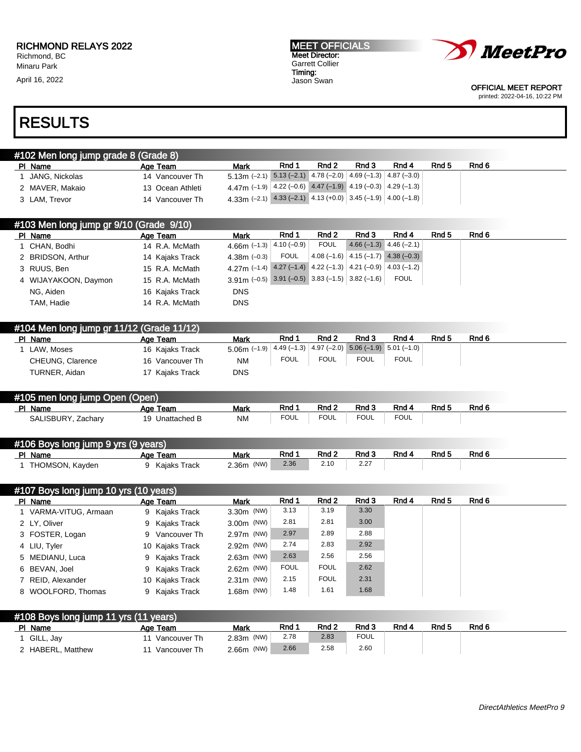April 16, 2022

MEET OFFICIALS Meet Director: Garrett Collier Timing: Jason Swan



OFFICIAL MEET REPORT printed: 2022-04-16, 10:22 PM

## RESULTS

| 1 #102 Men long jump grade 8 (Grade 8) |                  |                                                                                 |       |       |       |       |       |       |
|----------------------------------------|------------------|---------------------------------------------------------------------------------|-------|-------|-------|-------|-------|-------|
| PI Name                                | Age Team         | Mark                                                                            | Rnd 1 | Rnd 2 | Rnd 3 | Rnd 4 | Rnd 5 | Rnd 6 |
| JANG. Nickolas                         | 14 Vancouver Th  | $5.13\text{m}$ (-2.1) $5.13$ (-2.1) $4.78$ (-2.0) $ 4.69$ (-1.3) $ 4.87$ (-3.0) |       |       |       |       |       |       |
| 2 MAVER, Makaio                        | 13 Ocean Athleti | 4.47m (-1.9) $ 4.22$ (-0.6) 4.47 (-1.9) 4.19 (-0.3) 4.29 (-1.3)                 |       |       |       |       |       |       |
| 3 LAM, Trevor                          | 14 Vancouver Th  | 4.33m (-2.1) 4.33 (-2.1) 4.13 (+0.0) 3.45 (-1.9) 4.00 (-1.8)                    |       |       |       |       |       |       |

| #103 Men long jump gr 9/10 (Grade 9/10) |                 |                                                                                                      |             |             |                                                   |                           |       |       |
|-----------------------------------------|-----------------|------------------------------------------------------------------------------------------------------|-------------|-------------|---------------------------------------------------|---------------------------|-------|-------|
| PI Name                                 | Age Team        | <b>Mark</b>                                                                                          | Rnd 1       | Rnd 2       | Rnd 3                                             | Rnd 4                     | Rnd 5 | Rnd 6 |
| CHAN. Bodhi                             | 14 R.A. McMath  | 4.66m $(-1.3)$ $ 4.10$ $(-0.9)$ $ $                                                                  |             | <b>FOUL</b> |                                                   | $4.66(-1.3)$ $4.46(-2.1)$ |       |       |
| 2 BRIDSON, Arthur                       | 14 Kajaks Track | 4.38m $(-0.3)$                                                                                       | <b>FOUL</b> |             | $\mid$ 4.08 (-1.6) $\mid$ 4.15 (-1.7) 4.38 (-0.3) |                           |       |       |
| 3 RUUS, Ben                             | 15 R.A. McMath  | 4.27m (-1.4) $\boxed{4.27}$ (-1.4) $\boxed{4.22}$ (-1.3) $\boxed{4.21}$ (-0.9) $\boxed{4.03}$ (-1.2) |             |             |                                                   |                           |       |       |
| 4 WIJAYAKOON, Daymon                    | 15 R.A. McMath  | $3.91\text{m}$ (-0.5) 3.91 (-0.5) 3.83 (-1.5) 3.82 (-1.6)                                            |             |             |                                                   | <b>FOUL</b>               |       |       |
| NG. Aiden                               | 16 Kaiaks Track | <b>DNS</b>                                                                                           |             |             |                                                   |                           |       |       |
| TAM, Hadie                              | 14 R.A. McMath  | <b>DNS</b>                                                                                           |             |             |                                                   |                           |       |       |

|         | #104 Men long jump gr 11/12 (Grade 11/12) |                 |                                                                             |             |                  |             |             |                  |       |
|---------|-------------------------------------------|-----------------|-----------------------------------------------------------------------------|-------------|------------------|-------------|-------------|------------------|-------|
| PI Name |                                           | Age Team        | Mark                                                                        | Rnd 1       | Rnd <sub>2</sub> | Rnd 3       | Rnd 4       | Rnd <sub>5</sub> | Rnd 6 |
|         | LAW. Moses                                | 16 Kajaks Track | $5.06$ m (-1.9) $ 4.49$ (-1.3) $ 4.97$ (-2.0) $ 5.06$ (-1.9) $ 5.01$ (-1.0) |             |                  |             |             |                  |       |
|         | CHEUNG, Clarence                          | 16 Vancouver Th | ΝM                                                                          | <b>FOUL</b> | <b>FOUL</b>      | <b>FOUL</b> | <b>FOUL</b> |                  |       |
|         | TURNER, Aidan                             | 17 Kajaks Track | <b>DNS</b>                                                                  |             |                  |             |             |                  |       |

#### #105 men long jump Open (Open)

| PI Name                  | Aae<br>Team                              | Mark      | Rnd                 | Rnd 2       | Rnd 3               | Rnd 4       | RndF | Rnd 6 |
|--------------------------|------------------------------------------|-----------|---------------------|-------------|---------------------|-------------|------|-------|
| SALISBURY, Za<br>Zacharv | $\overline{\phantom{a}}$<br>Unattached B | <b>NM</b> | <b>FOUL</b><br>$ -$ | <b>FOUL</b> | <b>FOUL</b><br>$ -$ | <b>FOUL</b> |      |       |

### #106 Boys long jump 9 yrs (9 years)

| PI Name         | Team<br>Age     | Mark          | Rnd  | Rnd 2 | Rnd <sub>3</sub>                | Rnd 4 | Rnd <sub>5</sub> | Rnd 6 |  |
|-----------------|-----------------|---------------|------|-------|---------------------------------|-------|------------------|-------|--|
| THOMSON, Kayden | Kaiaks<br>Track | (NW)<br>2.36m | 2.36 | 2.10  | 0.07<br>$\epsilon$ . $\epsilon$ |       |                  |       |  |

| #107 Boys long jump 10 yrs (10 years) |                 |              |             |             |       |       |       |       |
|---------------------------------------|-----------------|--------------|-------------|-------------|-------|-------|-------|-------|
| PI Name                               | Age Team        | <b>Mark</b>  | Rnd 1       | Rnd 2       | Rnd 3 | Rnd 4 | Rnd 5 | Rnd 6 |
| 1 VARMA-VITUG, Armaan                 | 9 Kajaks Track  | $3.30m$ (NW) | 3.13        | 3.19        | 3.30  |       |       |       |
| 2 LY, Oliver                          | 9 Kajaks Track  | $3.00m$ (NW) | 2.81        | 2.81        | 3.00  |       |       |       |
| 3 FOSTER, Logan                       | 9 Vancouver Th  | 2.97m (NW)   | 2.97        | 2.89        | 2.88  |       |       |       |
| 4 LIU, Tyler                          | 10 Kajaks Track | 2.92m (NW)   | 2.74        | 2.83        | 2.92  |       |       |       |
| 5 MEDIANU, Luca                       | 9 Kajaks Track  | $2.63m$ (NW) | 2.63        | 2.56        | 2.56  |       |       |       |
| 6 BEVAN, Joel                         | 9 Kajaks Track  | $2.62m$ (NW) | <b>FOUL</b> | <b>FOUL</b> | 2.62  |       |       |       |
| 7 REID, Alexander                     | 10 Kajaks Track | $2.31m$ (NW) | 2.15        | <b>FOUL</b> | 2.31  |       |       |       |
| 8 WOOLFORD, Thomas                    | 9 Kajaks Track  | $1.68m$ (NW) | 1.48        | 1.61        | 1.68  |       |       |       |

#### #108 Boys long jump 11 yrs (11 years)

| PI Name           | Age Team     | Mark          | Rnd  | Rnd 2 | Rnd 3       | Rnd 4 | Rnd 5 | Rnd <sub>6</sub> |
|-------------------|--------------|---------------|------|-------|-------------|-------|-------|------------------|
| GILL, Jay         | Vancouver Th | (NW)<br>2.83m | 2.78 | 2.83  | <b>FOUL</b> |       |       |                  |
| 2 HABERL, Matthew | Vancouver Th | 2.66m (NW)    | 2.66 | 2.58  | 2.60        |       |       |                  |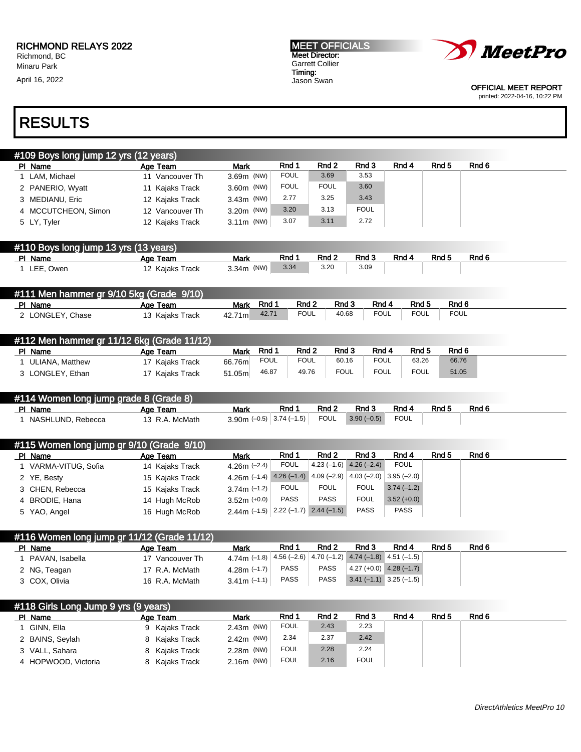April 16, 2022

MEET OFFICIALS Meet Director: Garrett Collier Timing: Jason Swan



OFFICIAL MEET REPORT printed: 2022-04-16, 10:22 PM

# RESULTS

| #109 Boys long jump 12 yrs (12 years)                                                |                                  |                                            |                     |                           |                                           |                  |                      |                  |
|--------------------------------------------------------------------------------------|----------------------------------|--------------------------------------------|---------------------|---------------------------|-------------------------------------------|------------------|----------------------|------------------|
| PI Name                                                                              | Age Team                         | <b>Mark</b>                                | Rnd 1               | Rnd <sub>2</sub>          | Rnd 3                                     | Rnd 4            | Rnd <sub>5</sub>     | Rnd 6            |
| 1 LAM, Michael                                                                       | 11 Vancouver Th                  | 3.69m (NW)                                 | <b>FOUL</b>         | 3.69                      | 3.53                                      |                  |                      |                  |
| 2 PANERIO, Wyatt                                                                     | 11 Kajaks Track                  | 3.60m (NW)                                 | <b>FOUL</b>         | <b>FOUL</b>               | 3.60                                      |                  |                      |                  |
| 3 MEDIANU, Eric                                                                      | 12 Kajaks Track                  | 3.43m (NW)                                 | 2.77                | 3.25                      | 3.43                                      |                  |                      |                  |
| 4 MCCUTCHEON, Simon                                                                  | 12 Vancouver Th                  | 3.20m (NW)                                 | 3.20                | 3.13                      | <b>FOUL</b>                               |                  |                      |                  |
| 5 LY, Tyler                                                                          | 12 Kajaks Track                  | $3.11m$ (NW)                               | 3.07                | 3.11                      | 2.72                                      |                  |                      |                  |
| #110 Boys long jump 13 yrs (13 years)                                                |                                  |                                            |                     |                           |                                           |                  |                      |                  |
| PI Name                                                                              | Age Team                         | <b>Mark</b>                                | Rnd 1               | Rnd 2                     | Rnd 3                                     | Rnd 4            | Rnd 5                | Rnd <sub>6</sub> |
| 1 LEE, Owen                                                                          | 12 Kajaks Track                  | 3.34m (NW)                                 | 3.34                | 3.20                      | 3.09                                      |                  |                      |                  |
| #111 Men hammer gr 9/10 5kg (Grade 9/10)                                             |                                  |                                            |                     |                           |                                           |                  |                      |                  |
| PI Name                                                                              | Age Team                         | Rnd 1<br><b>Mark</b>                       | Rnd 2               | Rnd 3                     | Rnd 4                                     | Rnd 5            | Rnd 6<br><b>FOUL</b> |                  |
| 2 LONGLEY, Chase                                                                     | 13 Kajaks Track                  | 42.71<br>42.71m                            | <b>FOUL</b>         | 40.68                     | <b>FOUL</b>                               | <b>FOUL</b>      |                      |                  |
| #112 Men hammer gr 11/12 6kg (Grade 11/12)                                           |                                  |                                            |                     |                           |                                           |                  |                      |                  |
| PI Name                                                                              | Age Team                         | Rnd 1<br>Mark                              | Rnd <sub>2</sub>    | Rnd 3                     | Rnd 4                                     | Rnd <sub>5</sub> | Rnd 6                |                  |
| 1 ULIANA, Matthew                                                                    | 17 Kajaks Track                  | <b>FOUL</b><br>66.76m                      | <b>FOUL</b>         | 60.16                     | <b>FOUL</b>                               | 63.26            | 66.76                |                  |
| 3 LONGLEY, Ethan                                                                     | 17 Kajaks Track                  | 46.87<br>51.05m                            | 49.76               | <b>FOUL</b>               | <b>FOUL</b>                               | <b>FOUL</b>      | 51.05                |                  |
| #114 Women long jump grade 8 (Grade 8)                                               |                                  |                                            |                     |                           |                                           |                  |                      |                  |
| PI Name                                                                              | Age Team                         | <b>Mark</b>                                | Rnd 1               | Rnd 2                     | Rnd 3                                     | Rnd 4            | Rnd 5                | Rnd 6            |
| 1 NASHLUND, Rebecca                                                                  | 13 R.A. McMath                   | 3.90m $(-0.5)$ 3.74 $(-1.5)$               |                     | <b>FOUL</b>               | $3.90(-0.5)$                              | <b>FOUL</b>      |                      |                  |
| #115 Women long jump gr 9/10 (Grade 9/10)                                            |                                  |                                            |                     |                           |                                           |                  |                      |                  |
| PI Name                                                                              | Age Team                         | <b>Mark</b>                                | Rnd 1               | Rnd 2                     | Rnd 3                                     | Rnd 4            | Rnd <sub>5</sub>     | Rnd <sub>6</sub> |
| 1 VARMA-VITUG, Sofia                                                                 | 14 Kajaks Track                  | 4.26m $(-2.4)$                             | <b>FOUL</b>         | $4.23(-1.6)$              | $4.26(-2.4)$                              | <b>FOUL</b>      |                      |                  |
| 2 YE, Besty                                                                          | 15 Kajaks Track                  | 4.26m $(-1.4)$                             |                     | $4.26(-1.4)$ $4.09(-2.9)$ | $4.03(-2.0)$                              | $3.95(-2.0)$     |                      |                  |
| 3 CHEN, Rebecca                                                                      | 15 Kajaks Track                  | $3.74m (-1.2)$                             | <b>FOUL</b>         | <b>FOUL</b>               | <b>FOUL</b>                               | $3.74(-1.2)$     |                      |                  |
| 4 BRODIE, Hana                                                                       | 14 Hugh McRob                    | $3.52m (+0.0)$                             | <b>PASS</b>         | <b>PASS</b>               | <b>FOUL</b>                               | $3.52 (+0.0)$    |                      |                  |
| 5 YAO, Angel                                                                         | 16 Hugh McRob                    | 2.44m $(-1.5)$ 2.22 $(-1.7)$ 2.44 $(-1.5)$ |                     |                           | <b>PASS</b>                               | <b>PASS</b>      |                      |                  |
| #116 Women long jump gr 11/12 (Grade 11/12)                                          |                                  |                                            |                     |                           |                                           |                  |                      |                  |
| PI Name                                                                              | Age Team                         | <b>Mark</b>                                | Rnd 1               | Rnd <sub>2</sub>          | Rnd 3                                     | Rnd 4            | Rnd <sub>5</sub>     | Rnd 6            |
| 1 PAVAN, Isabella                                                                    | 17 Vancouver Th                  | 4.74m (-1.8) $ 4.56$ (-2.6) $ $            |                     |                           | 4.70 $(-1.2)$ 4.74 $(-1.8)$ 4.51 $(-1.5)$ |                  |                      |                  |
|                                                                                      | 17 R.A. McMath                   | 4.28m $(-1.7)$                             | PASS                | PASS                      | $4.27 (+0.0)$ 4.28 (-1.7)                 |                  |                      |                  |
| 2 NG, Teagan                                                                         |                                  |                                            |                     |                           |                                           |                  |                      |                  |
| 3 COX, Olivia                                                                        | 16 R.A. McMath                   | 3.41m $(-1.1)$                             | PASS                | <b>PASS</b>               | $3.41(-1.1)$ $3.25(-1.5)$                 |                  |                      |                  |
|                                                                                      |                                  |                                            |                     |                           |                                           |                  |                      |                  |
|                                                                                      | Age Team                         | Mark                                       | Rnd 1               | Rnd 2                     | Rnd 3                                     | Rnd 4            | Rnd <sub>5</sub>     | Rnd 6            |
| 1 GINN, Ella                                                                         | 9 Kajaks Track                   | 2.43m (NW)                                 | <b>FOUL</b>         | 2.43                      | 2.23                                      |                  |                      |                  |
| #118 Girls Long Jump 9 yrs (9 years)<br>PI Name<br>2 BAINS, Seylah<br>3 VALL, Sahara | 8 Kajaks Track<br>8 Kajaks Track | 2.42m (NW)<br>2.28m (NW)                   | 2.34<br><b>FOUL</b> | 2.37<br>2.28              | 2.42<br>2.24                              |                  |                      |                  |

4 HOPWOOD, Victoria and 8 Kajaks Track 2.16m (NW) FOUL 2.16 FOUL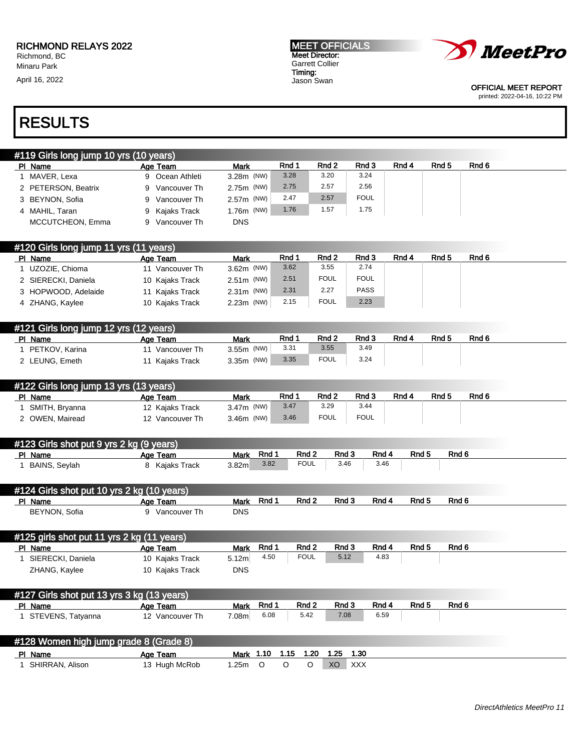April 16, 2022





OFFICIAL MEET REPORT printed: 2022-04-16, 10:22 PM

| #119 Girls long jump 10 yrs (10 years) |                   |              |       |       |             |       |       |       |  |
|----------------------------------------|-------------------|--------------|-------|-------|-------------|-------|-------|-------|--|
| PI Name                                | Age Team          | <b>Mark</b>  | Rnd 1 | Rnd 2 | Rnd 3       | Rnd 4 | Rnd 5 | Rnd 6 |  |
| MAVER. Lexa                            | 9 Ocean Athleti   | $3.28m$ (NW) | 3.28  | 3.20  | 3.24        |       |       |       |  |
| 2 PETERSON, Beatrix                    | Vancouver Th<br>9 | 2.75m (NW)   | 2.75  | 2.57  | 2.56        |       |       |       |  |
| 3 BEYNON, Sofia                        | Vancouver Th      | $2.57m$ (NW) | 2.47  | 2.57  | <b>FOUL</b> |       |       |       |  |
| MAHIL, Taran<br>4                      | Kajaks Track<br>9 | $1.76m$ (NW) | 1.76  | 1.57  | 1.75        |       |       |       |  |
| MCCUTCHEON, Emma                       | Vancouver Th<br>9 | <b>DNS</b>   |       |       |             |       |       |       |  |

| #120 Girls long jump 11 yrs (11 years) |                 |              |       |             |             |       |       |       |
|----------------------------------------|-----------------|--------------|-------|-------------|-------------|-------|-------|-------|
| PI Name                                | Age Team        | <b>Mark</b>  | Rnd · | Rnd 2       | Rnd 3       | Rnd 4 | Rnd 5 | Rnd 6 |
| UZOZIE, Chioma                         | 11 Vancouver Th | $3.62m$ (NW) | 3.62  | 3.55        | 2.74        |       |       |       |
| 2 SIERECKI, Daniela                    | 10 Kajaks Track | $2.51m$ (NW) | 2.51  | FOUL        | <b>FOUL</b> |       |       |       |
| 3 HOPWOOD, Adelaide                    | 11 Kajaks Track | $2.31m$ (NW) | 2.31  | 2.27        | <b>PASS</b> |       |       |       |
| 4 ZHANG, Kaylee                        | 10 Kajaks Track | $2.23m$ (NW) | 2.15  | <b>FOUL</b> | 2.23        |       |       |       |

| #121 Girls long jump 12 yrs (12 years) |                 |              |       |             |       |       |       |       |
|----------------------------------------|-----------------|--------------|-------|-------------|-------|-------|-------|-------|
| PI Name                                | Age Team        | Mark         | Rnd 1 | Rnd 2       | Rnd 3 | Rnd 4 | Rnd 5 | Rnd 6 |
| PETKOV, Karina                         | 11 Vancouver Th | $3.55m$ (NW) | 3.31  | 3.55        | 3.49  |       |       |       |
| 2 LEUNG, Emeth                         | Kaiaks Track    | $3.35m$ (NW) | 3.35  | <b>FOUL</b> | 3.24  |       |       |       |

| #122 Girls long jump 13 yrs (13 years) |                 |              |      |                  |             |       |                  |       |  |
|----------------------------------------|-----------------|--------------|------|------------------|-------------|-------|------------------|-------|--|
| PI Name                                | Age Team        | Mark         | Rnd  | Rnd <sub>2</sub> | Rnd 3       | Rnd 4 | Rnd <sub>5</sub> | Rnd 6 |  |
| SMITH, Bryanna                         | 12 Kajaks Track | $3.47m$ (NW) | 3.47 | 3.29             | 3.44        |       |                  |       |  |
| OWEN. Mairead                          | 12 Vancouver Th | $3.46m$ (NW) | 3.46 | <b>FOUL</b>      | <b>FOUL</b> |       |                  |       |  |

| #123 Girls shot put 9 yrs 2 kg (9 years) |              |                   |       |             |       |       |       |       |  |
|------------------------------------------|--------------|-------------------|-------|-------------|-------|-------|-------|-------|--|
| PI Name                                  | Age Team     | <b>Mark</b>       | Rnd 1 | Rnd 2       | Rnd 3 | Rnd 4 | Rnd 5 | Rnd 6 |  |
| BAINS, Seylah                            | Kajaks Track | 3.82 <sub>m</sub> | 3.82  | <b>FOUL</b> | 3.46  | 3.46  |       |       |  |

| #124 Girls shot put $10$ yrs 2 kg (10 years) |              |                      |       |       |       |       |       |  |
|----------------------------------------------|--------------|----------------------|-------|-------|-------|-------|-------|--|
| PI Name                                      | Age Team     | Rnd 1<br><b>Mark</b> | Rnd 2 | Rnd 3 | Rnd 4 | Rnd 5 | Rnd 6 |  |
| <b>BEYNON, Sofia</b>                         | Vancouver Th | DNS                  |       |       |       |       |       |  |

| #125 girls shot put 11 yrs 2 kg (11 years) |                 |                   |      |                  |       |       |       |       |
|--------------------------------------------|-----------------|-------------------|------|------------------|-------|-------|-------|-------|
| PI Name                                    | Age Team        | Mark              | Rnd  | Rnd <sub>2</sub> | Rnd 3 | Rnd 4 | Rnd 5 | Rnd 6 |
| SIERECKI, Daniela                          | 10 Kajaks Track | 5.12 <sub>m</sub> | 4.50 | <b>FOUL</b>      | 5.12  | 4.83  |       |       |
| ZHANG, Kaylee                              | 10 Kajaks Track | <b>DNS</b>        |      |                  |       |       |       |       |

| #127 Girls shot put $13$ yrs $3$ kg (13 years) |                 |             |            |       |       |       |       |       |  |
|------------------------------------------------|-----------------|-------------|------------|-------|-------|-------|-------|-------|--|
| PI Name                                        | Age Team        | <b>Mark</b> | <b>Rnd</b> | Rnd 2 | Rnd 3 | Rnd 4 | Rnd 5 | Rnd 6 |  |
| STEVENS, Tatyanna                              | 12 Vancouver Th | 7.08m       | 6.08       | 5.42  | 7.08  | 6.59  |       |       |  |

| #128 Women high jump grade 8 (Grade 8) |               |      |                |      |      |            |  |
|----------------------------------------|---------------|------|----------------|------|------|------------|--|
| PI Name                                | Age Team      |      | Mark 1.10 1.15 | 1.20 | 1.25 | 1.30       |  |
| SHIRRAN, Alison                        | 13 Hugh McRob | .25m |                |      | XO   | <b>XXX</b> |  |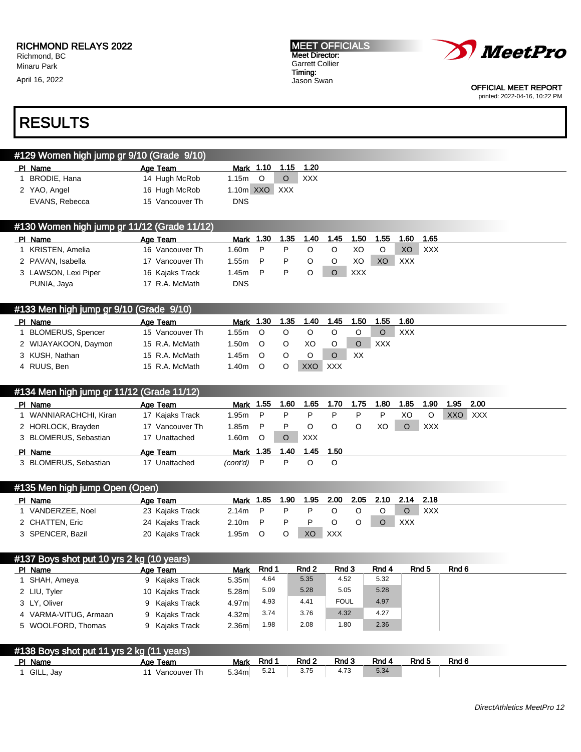April 16, 2022





OFFICIAL MEET REPORT printed: 2022-04-16, 10:22 PM

| #129 Women high jump gr 9/10 (Grade 9/10)   |                 |                |     |            |
|---------------------------------------------|-----------------|----------------|-----|------------|
| PI Name                                     | Age Team        | Mark 1.10 1.15 |     | - 1.20     |
| <b>BRODIE, Hana</b>                         | 14 Hugh McRob   | 1.15m<br>O     | O   | <b>XXX</b> |
| 2 YAO, Angel                                | 16 Hugh McRob   | 1.10m XXO      | XXX |            |
| EVANS, Rebecca                              | 15 Vancouver Th | <b>DNS</b>     |     |            |
|                                             |                 |                |     |            |
| #130 Women high jump gr 11/12 (Grade 11/12) |                 |                |     |            |
|                                             |                 |                |     |            |

| PI Name              | Age Team        | Mark  | 1.30 | 1.35 | 1.40 | 1.45 | 1.50       | 1.55 | I.60 | 1.65 |
|----------------------|-----------------|-------|------|------|------|------|------------|------|------|------|
| KRISTEN, Amelia      | 16 Vancouver Th | l.60m | P    |      |      |      | XO         |      | XO   | XXX  |
| 2 PAVAN, Isabella    | 17 Vancouver Th | l.55m | P.   |      |      |      | XO         | XO.  | XXX  |      |
| 3 LAWSON, Lexi Piper | 16 Kajaks Track | l.45m | P    |      |      |      | <b>XXX</b> |      |      |      |
| PUNIA, Jaya          | 17 R.A. McMath  | DNS   |      |      |      |      |            |      |      |      |

| #133 Men high jump gr 9/10 (Grade 9/10) |                 |       |      |      |      |            |      |      |            |  |  |
|-----------------------------------------|-----------------|-------|------|------|------|------------|------|------|------------|--|--|
| PI Name                                 | Age Team        | Mark  | 1.30 | 1.35 | 1.40 | 1.45       | 1.50 | 1.55 | 1.60       |  |  |
| <b>BLOMERUS, Spencer</b>                | 15 Vancouver Th | 1.55m |      |      |      |            |      |      | <b>XXX</b> |  |  |
| 2 WIJAYAKOON, Daymon                    | 15 R.A. McMath  | 1.50m |      |      | XO   |            |      | XXX  |            |  |  |
| 3 KUSH, Nathan                          | 15 R.A. McMath  | 1.45m |      |      |      |            | XX   |      |            |  |  |
| 4 RUUS, Ben                             | 15 R.A. McMath  | 1.40m |      |      | XXO  | <b>XXX</b> |      |      |            |  |  |

| #134 Men high jump gr 11/12 (Grade 11/12) |                 |                   |         |         |            |      |      |      |          |            |            |      |  |
|-------------------------------------------|-----------------|-------------------|---------|---------|------------|------|------|------|----------|------------|------------|------|--|
| PI Name                                   | Age Team        | Mark 1.55         |         | 1.60    | 1.65       | 1.70 | 1.75 | 1.80 | 1.85     | 1.90       | 1.95       | 2.00 |  |
| I WANNIARACHCHI, Kiran                    | 17 Kajaks Track | 1.95m P           |         | P       | P          | P    |      | P    | XO       | O          | <b>XXO</b> | XXX  |  |
| 2 HORLOCK, Brayden                        | 17 Vancouver Th | 1.85m P           |         | P       |            |      |      | XO   | $\Omega$ | <b>XXX</b> |            |      |  |
| 3 BLOMERUS, Sebastian                     | 17 Unattached   | 1.60 <sub>m</sub> | $\circ$ | $\circ$ | <b>XXX</b> |      |      |      |          |            |            |      |  |
| PI Name                                   | Age Team        | Mark 1.35         |         | 1.40    | 1.45       | 1.50 |      |      |          |            |            |      |  |
| 3 BLOMERUS, Sebastian                     | 17 Unattached   | (cont'd)          | - P     | P       |            | O    |      |      |          |            |            |      |  |
|                                           |                 |                   |         |         |            |      |      |      |          |            |            |      |  |

| #135 Men high jump Open (Open) |                 |         |          |      |      |      |      |                |            |     |
|--------------------------------|-----------------|---------|----------|------|------|------|------|----------------|------------|-----|
| PI Name                        | Age Team        | Mark    | 1.85     | 1.90 | 1.95 | 2.00 | 2.05 | 2.10 2.14 2.18 |            |     |
| VANDERZEE, Noel                | 23 Kajaks Track | 2.14m   | $\sim$ P |      |      |      |      |                |            | XXX |
| 2 CHATTEN, Eric                | 24 Kajaks Track | 2.10m P |          |      |      |      |      |                | <b>XXX</b> |     |
| 3 SPENCER, Bazil               | 20 Kajaks Track | 1.95m   |          |      | XO   | XXX  |      |                |            |     |

|                       | #137 Boys shot put 10 yrs 2 kg (10 years) |                   |       |       |             |       |       |       |  |  |
|-----------------------|-------------------------------------------|-------------------|-------|-------|-------------|-------|-------|-------|--|--|
| PI Name               | Age Team                                  | Mark              | Rnd 1 | Rnd 2 | Rnd 3       | Rnd 4 | Rnd 5 | Rnd 6 |  |  |
| SHAH, Ameya           | 9 Kajaks Track                            | 5.35m             | 4.64  | 5.35  | 4.52        | 5.32  |       |       |  |  |
| 2 LIU, Tyler          | 10 Kajaks Track                           | 5.28 <sub>m</sub> | 5.09  | 5.28  | 5.05        | 5.28  |       |       |  |  |
| 3 LY, Oliver          | 9 Kajaks Track                            | 4.97m             | 4.93  | 4.41  | <b>FOUL</b> | 4.97  |       |       |  |  |
| 4 VARMA-VITUG, Armaan | 9 Kajaks Track                            | 4.32 <sub>m</sub> | 3.74  | 3.76  | 4.32        | 4.27  |       |       |  |  |
| 5 WOOLFORD, Thomas    | 9 Kajaks Track                            | 2.36 <sub>m</sub> | 1.98  | 2.08  | 1.80        | 2.36  |       |       |  |  |
|                       |                                           |                   |       |       |             |       |       |       |  |  |

| #138 Boys shot put 11 yrs 2 kg (11 years) |              |                   |       |       |       |       |       |       |  |
|-------------------------------------------|--------------|-------------------|-------|-------|-------|-------|-------|-------|--|
| PI Name                                   | Age Team     | <b>Mark</b>       | Rnd 1 | Rnd 2 | Rnd 3 | Rnd 4 | Rnd 5 | Rnd 6 |  |
| GILL, Jay                                 | Vancouver Th | 5.34 <sub>m</sub> | 5.21  | 3.75  |       | 5.34  |       |       |  |